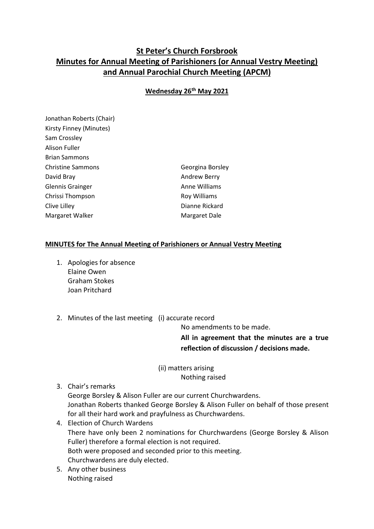## **St Peter's Church Forsbrook Minutes for Annual Meeting of Parishioners (or Annual Vestry Meeting) and Annual Parochial Church Meeting (APCM)**

## **Wednesday 26th May 2021**

Jonathan Roberts (Chair) Kirsty Finney (Minutes) Sam Crossley Alison Fuller Brian Sammons Christine Sammons Georgina Borsley David Bray **Andrew Berry Andrew Berry** Glennis Grainger **Anne Williams** Chrissi Thompson **Roy Williams** Clive Lilley **Dianne Rickard** Margaret Walker Margaret Dale

## **MINUTES for The Annual Meeting of Parishioners or Annual Vestry Meeting**

- 1. Apologies for absence Elaine Owen Graham Stokes Joan Pritchard
- 2. Minutes of the last meeting (i) accurate record

No amendments to be made.

**All in agreement that the minutes are a true reflection of discussion / decisions made.**

(ii) matters arising Nothing raised

3. Chair's remarks

George Borsley & Alison Fuller are our current Churchwardens. Jonathan Roberts thanked George Borsley & Alison Fuller on behalf of those present for all their hard work and prayfulness as Churchwardens.

- 4. Election of Church Wardens There have only been 2 nominations for Churchwardens (George Borsley & Alison Fuller) therefore a formal election is not required. Both were proposed and seconded prior to this meeting. Churchwardens are duly elected.
- 5. Any other business Nothing raised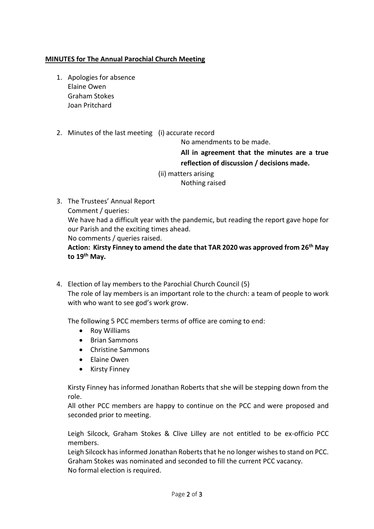## **MINUTES for The Annual Parochial Church Meeting**

- 1. Apologies for absence Elaine Owen Graham Stokes Joan Pritchard
- 2. Minutes of the last meeting (i) accurate record

No amendments to be made.

**All in agreement that the minutes are a true reflection of discussion / decisions made.**

(ii) matters arising

Nothing raised

- 3. The Trustees' Annual Report Comment / queries: We have had a difficult year with the pandemic, but reading the report gave hope for our Parish and the exciting times ahead. No comments / queries raised. **Action: Kirsty Finney to amend the date that TAR 2020 was approved from 26th May to 19th May.**
- 4. Election of lay members to the Parochial Church Council (5) The role of lay members is an important role to the church: a team of people to work with who want to see god's work grow.

The following 5 PCC members terms of office are coming to end:

- Roy Williams
- Brian Sammons
- Christine Sammons
- Elaine Owen
- Kirsty Finney

Kirsty Finney has informed Jonathan Roberts that she will be stepping down from the role.

All other PCC members are happy to continue on the PCC and were proposed and seconded prior to meeting.

Leigh Silcock, Graham Stokes & Clive Lilley are not entitled to be ex-officio PCC members.

Leigh Silcock has informed Jonathan Roberts that he no longer wishes to stand on PCC. Graham Stokes was nominated and seconded to fill the current PCC vacancy. No formal election is required.